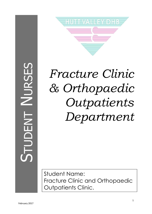# STUDENT NURSES



# *Fracture Clinic & Orthopaedic Outpatients Department*

Student Name: Fracture Clinic and Orthopaedic Outpatients Clinic.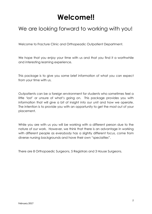# **Welcome!!**

### We are looking forward to working with you!

Welcome to Fracture Clinic and Orthopeadic Outpatient Department.

We hope that you enjoy your time with us and that you find it a worthwhile and interesting learning experience.

This package is to give you some brief information of what you can expect from your time with us.

Outpatients can be a foreign environment for students who sometimes feel a little 'lost' or unsure of what's going on. This package provides you with information that will give a bit of insight into our unit and how we operate. The intention is to provide you with an opportunity to get the most out of your placement.

While you are with us you will be working with a different person due to the nature of our work. However, we think that there is an advantage in working with different people as everybody has a slightly different focus, come from diverse nursing backgrounds and have their own "specialties".

There are 8 Orthopaedic Surgeons, 5 Registrars and 3 House Surgeons.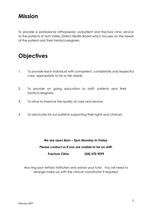### **Mission**

To provide a professional orthopaedic outpatient and fracture clinic service to the patients of Hutt Valley District Health Board which focuses on the needs of the patient and their family/caregivers

### **Objectives**

- 1. To provide each individual with competent, considerate and respectful care, appropriate to his or her needs.
- 2. To provide on going education to staff, patients and their family/caregivers.
- 3. To strive to improve the quality of care and service.
- 4. To advocate for our patients supporting their rights and choices.

### **We are open 8am – 5pm Monday to Friday.**

### **Please contact us if you are unable to be on shift:**

### **Fracture Clinic (04) 570 9099**

Also ring your tertiary institution and advise your tutor. You will need to arrange make up with the clinical coordinator if required.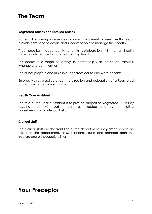### **The Team**

### **Registered Nurses and Enrolled Nurses**

Nurses utilise nursing knowledge and nursing judgment to assess health needs, provide care, and to advise and support people to manage their health.

They practise independently and in collaboration with other health professionals and perform general nursing functions.

This occurs in a range of settings in partnership with individuals, families, whanau and communities.

The nurses prepare and run clinics and treat acute and ward patients.

Enrolled Nurses practice under the direction and delegation of a Registered Nurse to implement nursing care.

### **Health Care Assistant**

The role of the Health Assistant is to provide support to Registered Nurses by assisting them with patient care as directed and by completing housekeeping and clerical tasks.

### **Clerical staff**

The clerical staff are the front line of the department. They greet people on arrival to the department, answer phones, build and manage both the fracture and orthopaedic clinics.

### **Your Preceptor**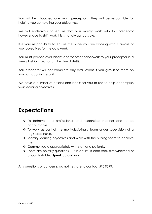You will be allocated one main preceptor. They will be responsible for helping you completing your objectives.

We will endeavour to ensure that you mainly work with this preceptor however due to shift work this is not always possible.

It is your responsibility to ensure the nurse you are working with is aware of your objectives for the day/week.

You must provide evaluations and/or other paperwork to your preceptor in a timely fashion (i.e. not on the due date!!).

You preceptor will not complete any evaluations if you give it to them on your last days in the unit.

We have a number of articles and books for you to use to help accomplish your learning objectives.

## **Expectations**

- To behave in a professional and responsible manner and to be accountable.
- To work as part of the multi-disciplinary team under supervision of a registered nurse.
- Identify learning objectives and work with the nursing team to achieve them.
- ◆ Communicate appropriately with staff and patients.
- There are no 'silly questions'. If in doubt, if confused, overwhelmed or uncomfortable: **Speak up and ask.**

Any questions or concerns, do not hesitate to contact 570 9099.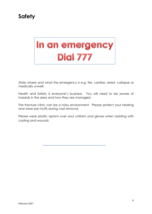# **Safety**

# In an emergency **Dial 777**

State where and what the emergency is e.g. fire, cardiac arrest, collapse or medically unwell.

Health and Safety is everyone's business. You will need to be aware of hazards in the area and how they are managed.

The fracture clinic can be a noisy environment. Please protect your hearing and wear ear muffs during cast removal.

Please wear plastic aprons over your uniform and gloves when assisting with casting and wounds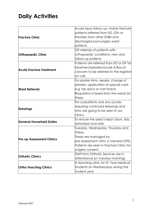# **Daily Activities**

|                                  | Acute injury follow-up, mainly fracture      |  |  |
|----------------------------------|----------------------------------------------|--|--|
|                                  | patients referred from ED, GPs or            |  |  |
| <b>Fracture Clinic</b>           | transfers from other DHBs and                |  |  |
|                                  | discharged post-surgery ward                 |  |  |
|                                  | patients.                                    |  |  |
|                                  | GP referrals of patients with                |  |  |
| <b>Orthopaedic Clinic</b>        | orthopaedic conditions; new and              |  |  |
|                                  | follow-up patients                           |  |  |
| <b>Acute Fracture Treatment</b>  | Patients are referred from ED or GP for      |  |  |
|                                  | treatment/plasters/acute X-Ray of            |  |  |
|                                  | concern to be referred to the registrar      |  |  |
|                                  | on call.                                     |  |  |
| <b>Ward Referrals</b>            | For plaster trims, repairs, change of        |  |  |
|                                  | plasters, application of special casts       |  |  |
|                                  | e.g. hip spica or cast brace.                |  |  |
|                                  | Requisition is faxed from the wards for      |  |  |
|                                  | lthese.                                      |  |  |
|                                  | For outpatients and any acutes               |  |  |
| <b>Dressings</b>                 | requiring continued dressings and            |  |  |
|                                  | who are going to be seen in our              |  |  |
|                                  | clinics.                                     |  |  |
| <b>General Household Duties</b>  | To ensure the area is kept clean, tidy, $\,$ |  |  |
|                                  | restocked and safe.                          |  |  |
| <b>Pre-op Assessment Clinics</b> | Tuesday, Wednesday, Thursday and             |  |  |
|                                  | Friday.                                      |  |  |
|                                  | These are managed by                         |  |  |
|                                  | pre-assessment clinic in General OPD.        |  |  |
|                                  | Patients are seen in Fracture Clinic for     |  |  |
|                                  | surgery consent.                             |  |  |
| <b>Orthotic Clinics</b>          | Staff from Orthotic Services are in          |  |  |
|                                  | attendance on Tuesday mornings.              |  |  |
|                                  | A teaching clinic for 5th Year Medical       |  |  |
| <b>Ortho Teaching Clinics</b>    | Students on Wednesdays during the            |  |  |
|                                  | student year.                                |  |  |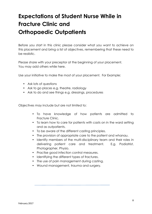# **Expectations of Student Nurse While in Fracture Clinic and Orthopaedic Outpatients**

Before you start in this clinic please consider what you want to achieve on this placement and bring a list of objectives, remembering that these need to be realistic.

Please share with your preceptor at the beginning of your placement. You may add others while here.

Use your initiative to make the most of your placement. For Example:

- Ask lots of questions
- Ask to go places e.g. theatre, radiology
- Ask to do and see things e.g. dressings, procedures

Objectives may include but are not limited to:

- To have knowledge of how patients are admitted to Fracture Clinic.
- To learn how to care for patients with casts on in the ward setting and as outpatients.
- To be aware of the different casting principles.
- The provision of appropriate care to the patient and whanau.
- Identify members of the multi-disciplinary team and their roles in delivering patient care and treatment. E.g. Podiatrist, Photographer, Physio.
- Practise good infection control measures.
- Identifying the different types of fractures.
- The use of pain management during casting.
- Wound management, trauma and surgery.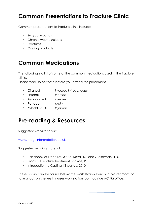## **Common Presentations to Fracture Clinic**

Common presentations to fracture clinic include:

- Surgical wounds
- Chronic wounds/ulcers
- Fractures
- Casting products

### **Common Medications**

The following is a list of some of the common medications used in the fracture clinic.

Please read up on these before you attend the placement.

- Citanest *injected intravenously*
- Entonox *inhaled*
- Kenacort A *injected*
- Pandaol *orally*
- Xylocaine 1% *injected*

### **Pre-reading & Resources**

Suggested website to visit:

www.imageinterpretation.co.uk

Suggested reading material:

- Handbook of Fractures, 3rd Ed, Koval, K.J and Zuckerman, J.D.
- Practical Fracture Treatment, McRae, R.
- Introduction to Casting, Kinealy, J. 2010

These books can be found below the work station bench in plaster room or take a look on shelves in nurses work station room outside ACNM office.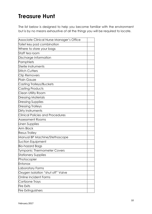## **Treasure Hunt**

The list below is designed to help you become familiar with the environment but is by no means exhaustive of all the things you will be required to locate.

| Associate Clinical Nurse Manager's Office |  |
|-------------------------------------------|--|
| Toilet key pad combination                |  |
| Where to store your bags                  |  |
| Staff tea room                            |  |
| Discharge Information                     |  |
| Pamphlets                                 |  |
| Sterile Instruments                       |  |
| <b>Stitch Cutters</b>                     |  |
| <b>Clip Removers</b>                      |  |
| Plain Gauze                               |  |
| Casting Trolleys/Buckets                  |  |
| Casting Products                          |  |
| Clean Utility Room                        |  |
| <b>Dressing Materials</b>                 |  |
| <b>Dressing Supplies</b>                  |  |
| <b>Dressing Trolleys</b>                  |  |
| Dirty Instruments                         |  |
| <b>Clinical Policies and Procedures</b>   |  |
| Assessment Rooms                          |  |
| Linen Supplies                            |  |
| <b>Arm Block</b>                          |  |
| <b>Resus Trolley</b>                      |  |
| Manual BP Machine/Stethoscope             |  |
| Suction Equipment                         |  |
| Bio-hazard Bags                           |  |
| Tympanic Thermometer Covers               |  |
| <b>Stationery Supplies</b>                |  |
| Photocopier                               |  |
| Entonox                                   |  |
| Laboratory Forms                          |  |
| Oxygen Isolation "shut off" Valve         |  |
| <b>Online Incident Forms</b>              |  |
| Cortizone Trays                           |  |
| <b>Fire Exits</b>                         |  |
| <b>Fire Extinguishers</b>                 |  |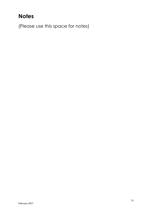# **Notes**

(Please use this space for notes)